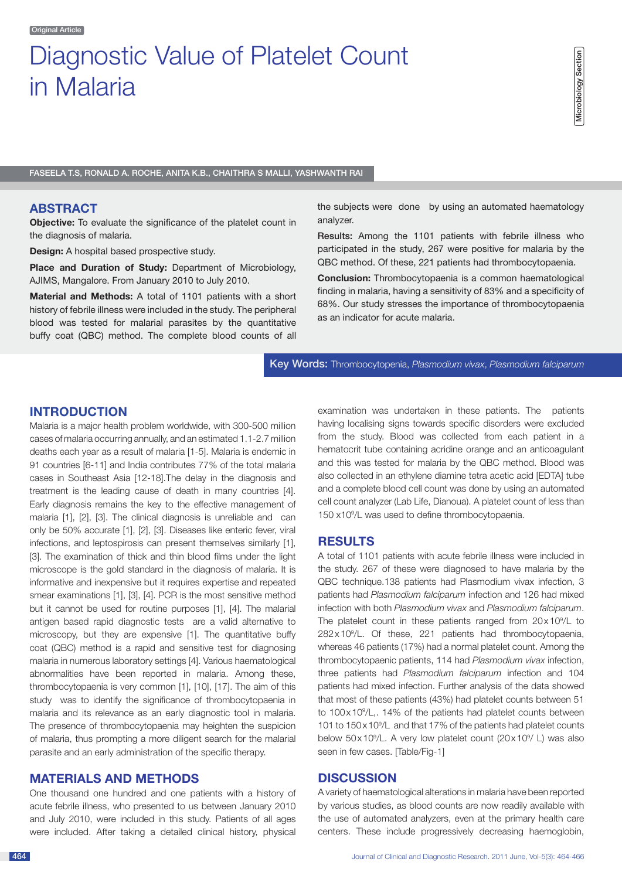# Diagnostic Value of Platelet Count in Malaria

Faseela T.S, Ronald A. Roche, Anita K.B., Chaithra S Malli, Yashwanth Rai

### **Abstract**

**Objective:** To evaluate the significance of the platelet count in the diagnosis of malaria.

**Design:** A hospital based prospective study.

Place and Duration of Study: Department of Microbiology, AJIMS, Mangalore. From January 2010 to July 2010.

**Material and Methods:** A total of 1101 patients with a short history of febrile illness were included in the study. The peripheral blood was tested for malarial parasites by the quantitative buffy coat (QBC) method. The complete blood counts of all the subjects were done by using an automated haematology analyzer.

Results: Among the 1101 patients with febrile illness who participated in the study, 267 were positive for malaria by the QBC method. Of these, 221 patients had thrombocytopaenia.

**Conclusion:** Thrombocytopaenia is a common haematological finding in malaria, having a sensitivity of 83% and a specificity of 68%. Our study stresses the importance of thrombocytopaenia as an indicator for acute malaria.

Key Words: Thrombocytopenia, *Plasmodium vivax*, *Plasmodium falciparum*

# **Introduction**

Malaria is a major health problem worldwide, with 300-500 million cases of malaria occurring annually, and an estimated 1.1-2.7 million deaths each year as a result of malaria [1-5]. Malaria is endemic in 91 countries [6-11] and India contributes 77% of the total malaria cases in Southeast Asia [12-18].The delay in the diagnosis and treatment is the leading cause of death in many countries [4]. Early diagnosis remains the key to the effective management of malaria [1], [2], [3]. The clinical diagnosis is unreliable and can only be 50% accurate [1], [2], [3]. Diseases like enteric fever, viral infections, and leptospirosis can present themselves similarly [1], [3]. The examination of thick and thin blood films under the light microscope is the gold standard in the diagnosis of malaria. It is informative and inexpensive but it requires expertise and repeated smear examinations [1], [3], [4]. PCR is the most sensitive method but it cannot be used for routine purposes [1], [4]. The malarial antigen based rapid diagnostic tests are a valid alternative to microscopy, but they are expensive [1]. The quantitative buffy coat (QBC) method is a rapid and sensitive test for diagnosing malaria in numerous laboratory settings [4]. Various haematological abnormalities have been reported in malaria. Among these, thrombocytopaenia is very common [1], [10], [17]. The aim of this study was to identify the significance of thrombocytopaenia in malaria and its relevance as an early diagnostic tool in malaria. The presence of thrombocytopaenia may heighten the suspicion of malaria, thus prompting a more diligent search for the malarial parasite and an early administration of the specific therapy.

## **MATERIALS AND METHODS**

One thousand one hundred and one patients with a history of acute febrile illness, who presented to us between January 2010 and July 2010, were included in this study. Patients of all ages were included. After taking a detailed clinical history, physical

examination was undertaken in these patients. The patients having localising signs towards specific disorders were excluded from the study. Blood was collected from each patient in a hematocrit tube containing acridine orange and an anticoagulant and this was tested for malaria by the QBC method. Blood was also collected in an ethylene diamine tetra acetic acid [EDTA] tube and a complete blood cell count was done by using an automated cell count analyzer (Lab Life, Dianoua). A platelet count of less than 150 x109 /L was used to define thrombocytopaenia.

## **RESULTS**

A total of 1101 patients with acute febrile illness were included in the study. 267 of these were diagnosed to have malaria by the QBC technique.138 patients had Plasmodium vivax infection, 3 patients had *Plasmodium falciparum* infection and 126 had mixed infection with both *Plasmodium vivax* and *Plasmodium falciparum*. The platelet count in these patients ranged from  $20 \times 10^9$ /L to 282x109 /L. Of these, 221 patients had thrombocytopaenia, whereas 46 patients (17%) had a normal platelet count. Among the thrombocytopaenic patients, 114 had *Plasmodium vivax* infection, three patients had *Plasmodium falciparum* infection and 104 patients had mixed infection. Further analysis of the data showed that most of these patients (43%) had platelet counts between 51 to 100x109 /L,. 14% of the patients had platelet counts between 101 to 150x109 /L and that 17% of the patients had platelet counts below 50x10<sup>9</sup>/L. A very low platelet count (20x10<sup>9</sup>/ L) was also seen in few cases. [Table/Fig-1]

## **DISCUSSION**

A variety of haematological alterations in malaria have been reported by various studies, as blood counts are now readily available with the use of automated analyzers, even at the primary health care centers. These include progressively decreasing haemoglobin,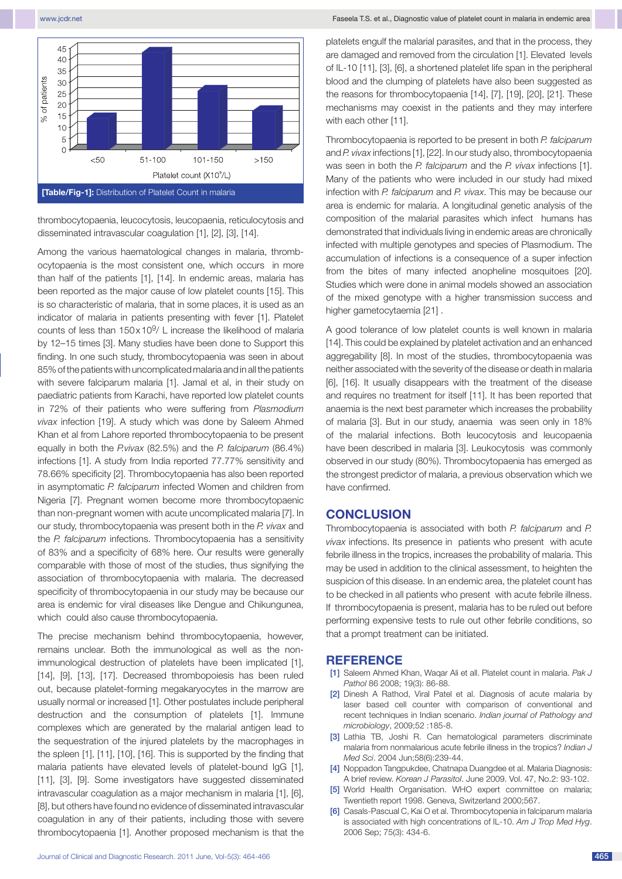

thrombocytopaenia, leucocytosis, leucopaenia, reticulocytosis and disseminated intravascular coagulation [1], [2], [3], [14].

Among the various haematological changes in malaria, thrombocytopaenia is the most consistent one, which occurs in more than half of the patients [1], [14]. In endemic areas, malaria has been reported as the major cause of low platelet counts [15]. This is so characteristic of malaria, that in some places, it is used as an indicator of malaria in patients presenting with fever [1]. Platelet counts of less than  $150 \times 10^9$ / L increase the likelihood of malaria by 12–15 times [3]. Many studies have been done to Support this finding. In one such study, thrombocytopaenia was seen in about 85% of the patients with uncomplicated malaria and in all the patients with severe falciparum malaria [1]. Jamal et al, in their study on paediatric patients from Karachi, have reported low platelet counts in 72% of their patients who were suffering from *Plasmodium vivax* infection [19]. A study which was done by Saleem Ahmed Khan et al from Lahore reported thrombocytopaenia to be present equally in both the *P.vivax* (82.5%) and the *P. falciparum* (86.4%) infections [1]. A study from India reported 77.77% sensitivity and 78.66% specificity [2]. Thrombocytopaenia has also been reported in asymptomatic *P. falciparum* infected Women and children from Nigeria [7]. Pregnant women become more thrombocytopaenic than non-pregnant women with acute uncomplicated malaria [7]. In our study, thrombocytopaenia was present both in the *P. vivax* and the *P. falciparum* infections. Thrombocytopaenia has a sensitivity of 83% and a specificity of 68% here. Our results were generally comparable with those of most of the studies, thus signifying the association of thrombocytopaenia with malaria. The decreased specificity of thrombocytopaenia in our study may be because our area is endemic for viral diseases like Dengue and Chikungunea, which could also cause thrombocytopaenia.

The precise mechanism behind thrombocytopaenia, however, remains unclear. Both the immunological as well as the nonimmunological destruction of platelets have been implicated [1], [14], [9], [13], [17]. Decreased thrombopoiesis has been ruled out, because platelet-forming megakaryocytes in the marrow are usually normal or increased [1]. Other postulates include peripheral destruction and the consumption of platelets [1]. Immune complexes which are generated by the malarial antigen lead to the sequestration of the injured platelets by the macrophages in the spleen [1], [11], [10], [16]. This is supported by the finding that malaria patients have elevated levels of platelet-bound IgG [1], [11], [3], [9]. Some investigators have suggested disseminated intravascular coagulation as a major mechanism in malaria [1], [6], [8], but others have found no evidence of disseminated intravascular coagulation in any of their patients, including those with severe thrombocytopaenia [1]. Another proposed mechanism is that the

platelets engulf the malarial parasites, and that in the process, they are damaged and removed from the circulation [1]. Elevated levels of IL-10 [11], [3], [6], a shortened platelet life span in the peripheral blood and the clumping of platelets have also been suggested as the reasons for thrombocytopaenia [14], [7], [19], [20], [21]. These mechanisms may coexist in the patients and they may interfere with each other [11].

Thrombocytopaenia is reported to be present in both *P. falciparum* and *P. vivax* infections [1], [22]. In our study also, thrombocytopaenia was seen in both the *P. falciparum* and the *P. vivax* infections [1]. Many of the patients who were included in our study had mixed infection with *P. falciparum* and *P. vivax*. This may be because our area is endemic for malaria. A longitudinal genetic analysis of the composition of the malarial parasites which infect humans has demonstrated that individuals living in endemic areas are chronically infected with multiple genotypes and species of Plasmodium. The accumulation of infections is a consequence of a super infection from the bites of many infected anopheline mosquitoes [20]. Studies which were done in animal models showed an association of the mixed genotype with a higher transmission success and higher gametocytaemia [21] .

A good tolerance of low platelet counts is well known in malaria [14]. This could be explained by platelet activation and an enhanced aggregability [8]. In most of the studies, thrombocytopaenia was neither associated with the severity of the disease or death in malaria [6], [16]. It usually disappears with the treatment of the disease and requires no treatment for itself [11]. It has been reported that anaemia is the next best parameter which increases the probability of malaria [3]. But in our study, anaemia was seen only in 18% of the malarial infections. Both leucocytosis and leucopaenia have been described in malaria [3]. Leukocytosis was commonly observed in our study (80%). Thrombocytopaenia has emerged as the strongest predictor of malaria, a previous observation which we have confirmed.

## **CONCLUSION**

Thrombocytopaenia is associated with both *P. falciparum* and *P. vivax* infections. Its presence in patients who present with acute febrile illness in the tropics, increases the probability of malaria. This may be used in addition to the clinical assessment, to heighten the suspicion of this disease. In an endemic area, the platelet count has to be checked in all patients who present with acute febrile illness. If thrombocytopaenia is present, malaria has to be ruled out before performing expensive tests to rule out other febrile conditions, so that a prompt treatment can be initiated.

#### **Reference**

- [1] Saleem Ahmed Khan, Waqar Ali et all. Platelet count in malaria. *Pak J Pathol* 86 2008; 19(3): 86-88.
- [2] Dinesh A Rathod, Viral Patel et al. Diagnosis of acute malaria by laser based cell counter with comparison of conventional and recent techniques in Indian scenario. *Indian journal of Pathology and microbiology*, 2009;52 :185-8.
- [3] Lathia TB, Joshi R. Can hematological parameters discriminate malaria from nonmalarious acute febrile illness in the tropics? *Indian J Med Sci*. 2004 Jun;58(6):239-44.
- [4] Noppadon Tangpukdee, Chatnapa Duangdee et al. Malaria Diagnosis: A brief review. *Korean J Parasitol*. June 2009. Vol. 47, No.2: 93-102.
- [5] World Health Organisation. WHO expert committee on malaria; Twentieth report 1998. Geneva, Switzerland 2000;567.
- [6] Casals-Pascual C, Kai O et al. Thrombocytopenia in falciparum malaria is associated with high concentrations of IL-10. *Am J Trop Med Hyg*. 2006 Sep; 75(3): 434-6.